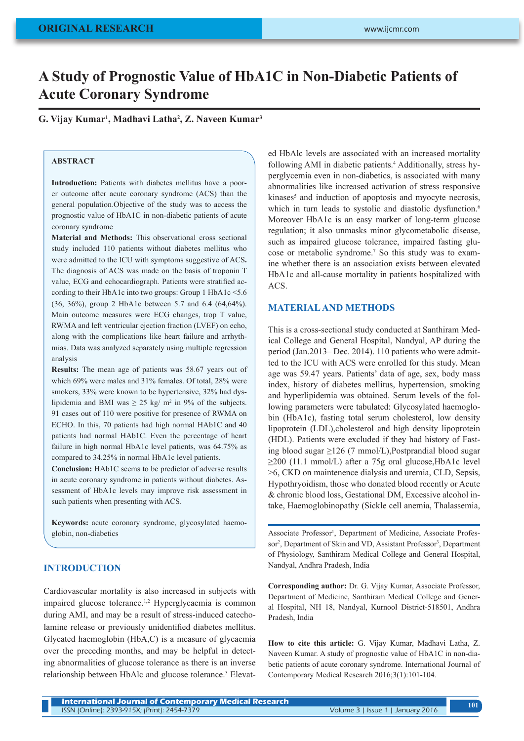# **A Study of Prognostic Value of HbA1C in Non-Diabetic Patients of Acute Coronary Syndrome**

**G. Vijay Kumar1 , Madhavi Latha2 , Z. Naveen Kumar3**

# **ABSTRACT**

**Introduction:** Patients with diabetes mellitus have a poorer outcome after acute coronary syndrome (ACS) than the general population.Objective of the study was to access the prognostic value of HbA1C in non-diabetic patients of acute coronary syndrome

**Material and Methods:** This observational cross sectional study included 110 patients without diabetes mellitus who were admitted to the ICU with symptoms suggestive of ACS**.**  The diagnosis of ACS was made on the basis of troponin T value, ECG and echocardiograph. Patients were stratified according to their HbA1c into two groups: Group 1 HbA1c <5.6 (36, 36%), group 2 HbA1c between 5.7 and 6.4 (64,64%). Main outcome measures were ECG changes, trop T value, RWMA and left ventricular ejection fraction (LVEF) on echo, along with the complications like heart failure and arrhythmias. Data was analyzed separately using multiple regression analysis

**Results:** The mean age of patients was 58.67 years out of which 69% were males and 31% females. Of total, 28% were smokers, 33% were known to be hypertensive, 32% had dyslipidemia and BMI was  $\geq 25$  kg/ m<sup>2</sup> in 9% of the subjects. 91 cases out of 110 were positive for presence of RWMA on ECHO. In this, 70 patients had high normal HAb1C and 40 patients had normal HAb1C. Even the percentage of heart failure in high normal HbA1c level patients, was 64.75% as compared to 34.25% in normal HbA1c level patients.

**Conclusion:** HAb1C seems to be predictor of adverse results in acute coronary syndrome in patients without diabetes. Assessment of HbA1c levels may improve risk assessment in such patients when presenting with ACS.

**Keywords:** acute coronary syndrome, glycosylated haemoglobin, non-diabetics

#### **INTRODUCTION**

Cardiovascular mortality is also increased in subjects with impaired glucose tolerance.<sup>1,2</sup> Hyperglycaemia is common during AMI, and may be a result of stress-induced catecholamine release or previously unidentified diabetes mellitus. Glycated haemoglobin (HbA,C) is a measure of glycaemia over the preceding months, and may be helpful in detecting abnormalities of glucose tolerance as there is an inverse relationship between HbAlc and glucose tolerance.<sup>3</sup> Elevat-

ed HbAlc levels are associated with an increased mortality following AMI in diabetic patients.<sup>4</sup> Additionally, stress hyperglycemia even in non-diabetics, is associated with many abnormalities like increased activation of stress responsive kinases<sup>5</sup> and induction of apoptosis and myocyte necrosis, which in turn leads to systolic and diastolic dysfunction.<sup>6</sup> Moreover HbA1c is an easy marker of long-term glucose regulation; it also unmasks minor glycometabolic disease, such as impaired glucose tolerance, impaired fasting glucose or metabolic syndrome.7 So this study was to examine whether there is an association exists between elevated HbA1c and all-cause mortality in patients hospitalized with ACS.

#### **MATERIAL AND METHODS**

This is a cross-sectional study conducted at Santhiram Medical College and General Hospital, Nandyal, AP during the period (Jan.2013– Dec. 2014). 110 patients who were admitted to the ICU with ACS were enrolled for this study. Mean age was 59.47 years. Patients' data of age, sex, body mass index, history of diabetes mellitus, hypertension, smoking and hyperlipidemia was obtained. Serum levels of the following parameters were tabulated: Glycosylated haemoglobin (HbA1c), fasting total serum cholesterol, low density lipoprotein (LDL),cholesterol and high density lipoprotein (HDL). Patients were excluded if they had history of Fasting blood sugar  $\geq$ 126 (7 mmol/L), Postprandial blood sugar ≥200 (11.1 mmol/L) after a 75g oral glucose,HbA1c level >6, CKD on maintenence dialysis and uremia, CLD, Sepsis, Hypothryoidism, those who donated blood recently or Acute & chronic blood loss, Gestational DM, Excessive alcohol intake, Haemoglobinopathy (Sickle cell anemia, Thalassemia,

Associate Professor<sup>1</sup>, Department of Medicine, Associate Professor<sup>2</sup>, Department of Skin and VD, Assistant Professor<sup>3</sup>, Department of Physiology, Santhiram Medical College and General Hospital, Nandyal, Andhra Pradesh, India

**Corresponding author:** Dr. G. Vijay Kumar, Associate Professor, Department of Medicine, Santhiram Medical College and General Hospital, NH 18, Nandyal, Kurnool District-518501, Andhra Pradesh, India

**How to cite this article:** G. Vijay Kumar, Madhavi Latha, Z. Naveen Kumar. A study of prognostic value of HbA1C in non-diabetic patients of acute coronary syndrome. International Journal of Contemporary Medical Research 2016;3(1):101-104.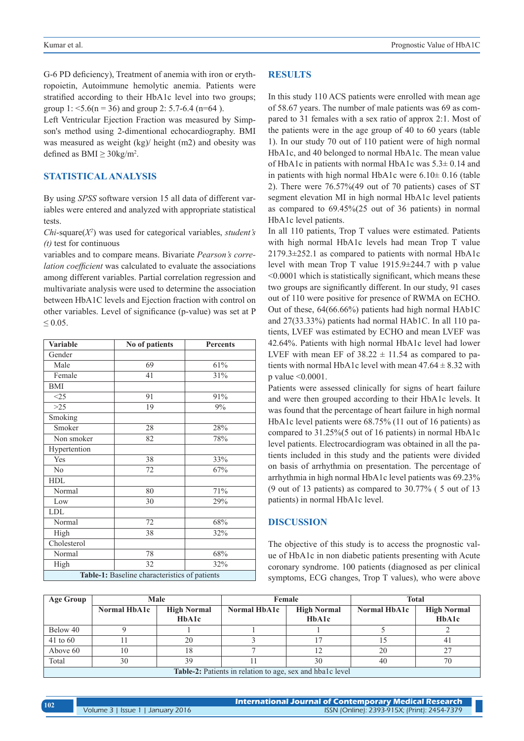G-6 PD deficiency), Treatment of anemia with iron or erythropoietin, Autoimmune hemolytic anemia. Patients were stratified according to their HbA1c level into two groups; group 1:  $\leq$ 5.6(n = 36) and group 2: 5.7-6.4 (n=64).

Left Ventricular Ejection Fraction was measured by Simpson's method using 2-dimentional echocardiography. BMI was measured as weight (kg)/ height (m2) and obesity was defined as  $\text{BMI} \geq 30 \text{kg/m}^2$ .

# **STATISTICAL ANALYSIS**

By using *SPSS* software version 15 all data of different variables were entered and analyzed with appropriate statistical tests.

*Chi*-square(*X2* ) was used for categorical variables, *student's (t)* test for continuous

variables and to compare means. Bivariate *Pearson's correlation coefficient* was calculated to evaluate the associations among different variables. Partial correlation regression and multivariate analysis were used to determine the association between HbA1C levels and Ejection fraction with control on other variables. Level of significance (p-value) was set at P  $≤ 0.05.$ 

| <b>Variable</b> | No of patients                                | <b>Percents</b> |  |
|-----------------|-----------------------------------------------|-----------------|--|
| Gender          |                                               |                 |  |
| Male            | 69                                            | 61%             |  |
| Female          | 41                                            | 31%             |  |
| BMI             |                                               |                 |  |
| <25             | 91                                            | 91%             |  |
| $>25$           | 19                                            | 9%              |  |
| Smoking         |                                               |                 |  |
| Smoker          | 28                                            | 28%             |  |
| Non smoker      | 82                                            | 78%             |  |
| Hypertention    |                                               |                 |  |
| Yes             | 38                                            | 33%             |  |
| No              | 72                                            | 67%             |  |
| <b>HDL</b>      |                                               |                 |  |
| Normal          | 80                                            | 71%             |  |
| Low             | 30                                            | 29%             |  |
| <b>LDL</b>      |                                               |                 |  |
| Normal          | 72                                            | 68%             |  |
| High            | 38                                            | 32%             |  |
| Cholesterol     |                                               |                 |  |
| Normal          | 78                                            | 68%             |  |
| High            | 32                                            | 32%             |  |
|                 | Table-1: Baseline characteristics of patients |                 |  |

## **RESULTS**

In this study 110 ACS patients were enrolled with mean age of 58.67 years. The number of male patients was 69 as compared to 31 females with a sex ratio of approx 2:1. Most of the patients were in the age group of 40 to 60 years (table 1). In our study 70 out of 110 patient were of high normal HbA1c, and 40 belonged to normal HbA1c. The mean value of HbA1c in patients with normal HbA1c was 5.3± 0.14 and in patients with high normal HbA1c were  $6.10 \pm 0.16$  (table 2). There were 76.57%(49 out of 70 patients) cases of ST segment elevation MI in high normal HbA1c level patients as compared to 69.45%(25 out of 36 patients) in normal HbA1c level patients.

In all 110 patients, Trop T values were estimated. Patients with high normal HbA1c levels had mean Trop T value 2179.3±252.1 as compared to patients with normal HbA1c level with mean Trop T value 1915.9±244.7 with p value <0.0001 which is statistically significant, which means these two groups are significantly different. In our study, 91 cases out of 110 were positive for presence of RWMA on ECHO. Out of these, 64(66.66%) patients had high normal HAb1C and 27(33.33%) patients had normal HAb1C. In all 110 patients, LVEF was estimated by ECHO and mean LVEF was 42.64%. Patients with high normal HbA1c level had lower LVEF with mean EF of  $38.22 \pm 11.54$  as compared to patients with normal HbA1c level with mean  $47.64 \pm 8.32$  with p value <0.0001.

Patients were assessed clinically for signs of heart failure and were then grouped according to their HbA1c levels. It was found that the percentage of heart failure in high normal HbA1c level patients were 68.75% (11 out of 16 patients) as compared to 31.25%(5 out of 16 patients) in normal HbA1c level patients. Electrocardiogram was obtained in all the patients included in this study and the patients were divided on basis of arrhythmia on presentation. The percentage of arrhythmia in high normal HbA1c level patients was 69.23% (9 out of 13 patients) as compared to 30.77% ( 5 out of 13 patients) in normal HbA1c level.

## **DISCUSSION**

The objective of this study is to access the prognostic value of HbA1c in non diabetic patients presenting with Acute coronary syndrome. 100 patients (diagnosed as per clinical symptoms, ECG changes, Trop T values), who were above

| Age Group                                                        | Male                |                    | Female       |                    | Total        |                    |  |
|------------------------------------------------------------------|---------------------|--------------------|--------------|--------------------|--------------|--------------------|--|
|                                                                  | <b>Normal HbA1c</b> | <b>High Normal</b> | Normal HbA1c | <b>High Normal</b> | Normal HbA1c | <b>High Normal</b> |  |
|                                                                  |                     | HbA1c              |              | HbA1c              |              | HbA1c              |  |
| Below 40                                                         |                     |                    |              |                    |              |                    |  |
| $41$ to 60                                                       |                     | 20                 |              |                    |              |                    |  |
| Above 60                                                         |                     |                    |              |                    | 20           |                    |  |
| Total                                                            | 30                  | 39                 |              | 30                 | 40           | 70                 |  |
| <b>Table-2:</b> Patients in relation to age, sex and hbalc level |                     |                    |              |                    |              |                    |  |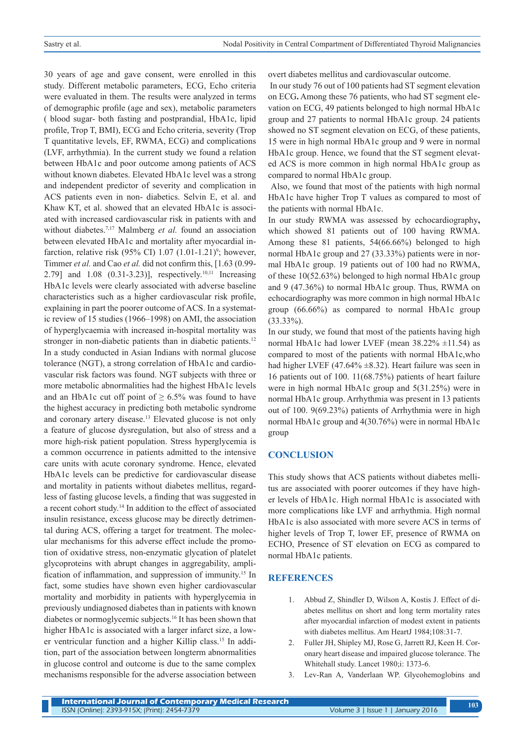30 years of age and gave consent, were enrolled in this study. Different metabolic parameters, ECG, Echo criteria were evaluated in them. The results were analyzed in terms of demographic profile (age and sex), metabolic parameters ( blood sugar- both fasting and postprandial, HbA1c, lipid profile, Trop T, BMI), ECG and Echo criteria, severity (Trop T quantitative levels, EF, RWMA, ECG) and complications (LVF, arrhythmia). In the current study we found a relation between HbA1c and poor outcome among patients of ACS without known diabetes. Elevated HbA1c level was a strong and independent predictor of severity and complication in ACS patients even in non- diabetics. Selvin E, et al. and Khaw KT, et al. showed that an elevated HbA1c is associated with increased cardiovascular risk in patients with and without diabetes.<sup>7,17</sup> Malmberg *et al.* found an association between elevated HbA1c and mortality after myocardial infarction, relative risk  $(95\% \text{ CI}) 1.07 (1.01-1.21)^{\circ}$ ; however, Timmer *et al.* and Cao *et al.* did not confirm this, [1.63 (0.99- 2.79] and 1.08 (0.31-3.23)], respectively.<sup>10,11</sup> Increasing HbA1c levels were clearly associated with adverse baseline characteristics such as a higher cardiovascular risk profile, explaining in part the poorer outcome of ACS. In a systematic review of 15 studies (1966–1998) on AMI, the association of hyperglycaemia with increased in-hospital mortality was stronger in non-diabetic patients than in diabetic patients.<sup>12</sup> In a study conducted in Asian Indians with normal glucose tolerance (NGT), a strong correlation of HbA1c and cardiovascular risk factors was found. NGT subjects with three or more metabolic abnormalities had the highest HbA1c levels and an HbA1c cut off point of  $\geq 6.5\%$  was found to have the highest accuracy in predicting both metabolic syndrome and coronary artery disease.13 Elevated glucose is not only a feature of glucose dysregulation, but also of stress and a more high-risk patient population. Stress hyperglycemia is a common occurrence in patients admitted to the intensive care units with acute coronary syndrome. Hence, elevated HbA1c levels can be predictive for cardiovascular disease and mortality in patients without diabetes mellitus, regardless of fasting glucose levels, a finding that was suggested in a recent cohort study.14 In addition to the effect of associated insulin resistance, excess glucose may be directly detrimental during ACS, offering a target for treatment. The molecular mechanisms for this adverse effect include the promotion of oxidative stress, non-enzymatic glycation of platelet glycoproteins with abrupt changes in aggregability, amplification of inflammation, and suppression of immunity.15 In fact, some studies have shown even higher cardiovascular mortality and morbidity in patients with hyperglycemia in previously undiagnosed diabetes than in patients with known diabetes or normoglycemic subjects.16 It has been shown that higher HbA1c is associated with a larger infarct size, a lower ventricular function and a higher Killip class.15 In addition, part of the association between longterm abnormalities in glucose control and outcome is due to the same complex mechanisms responsible for the adverse association between

overt diabetes mellitus and cardiovascular outcome.

 In our study 76 out of 100 patients had ST segment elevation on ECG**.** Among these 76 patients, who had ST segment elevation on ECG, 49 patients belonged to high normal HbA1c group and 27 patients to normal HbA1c group. 24 patients showed no ST segment elevation on ECG, of these patients, 15 were in high normal HbA1c group and 9 were in normal HbA1c group. Hence, we found that the ST segment elevated ACS is more common in high normal HbA1c group as compared to normal HbA1c group.

Also, we found that most of the patients with high normal HbA1c have higher Trop T values as compared to most of the patients with normal HbA1c.

In our study RWMA was assessed by echocardiography**,** which showed 81 patients out of 100 having RWMA. Among these 81 patients, 54(66.66%) belonged to high normal HbA1c group and 27 (33.33%) patients were in normal HbA1c group. 19 patients out of 100 had no RWMA, of these 10(52.63%) belonged to high normal HbA1c group and 9 (47.36%) to normal HbA1c group. Thus, RWMA on echocardiography was more common in high normal HbA1c group (66.66%) as compared to normal HbA1c group (33.33%).

In our study, we found that most of the patients having high normal HbA1c had lower LVEF (mean  $38.22\% \pm 11.54$ ) as compared to most of the patients with normal HbA1c,who had higher LVEF (47.64%  $\pm$ 8.32). Heart failure was seen in 16 patients out of 100. 11(68.75%) patients of heart failure were in high normal HbA1c group and 5(31.25%) were in normal HbA1c group. Arrhythmia was present in 13 patients out of 100. 9(69.23%) patients of Arrhythmia were in high normal HbA1c group and 4(30.76%) were in normal HbA1c group

## **CONCLUSION**

This study shows that ACS patients without diabetes mellitus are associated with poorer outcomes if they have higher levels of HbA1c. High normal HbA1c is associated with more complications like LVF and arrhythmia. High normal HbA1c is also associated with more severe ACS in terms of higher levels of Trop T, lower EF, presence of RWMA on ECHO, Presence of ST elevation on ECG as compared to normal HbA1c patients.

# **REFERENCES**

- 1. Abbud Z, Shindler D, Wilson A, Kostis J. Effect of diabetes mellitus on short and long term mortality rates after myocardial infarction of modest extent in patients with diabetes mellitus. Am HeartJ 1984;108:31-7.
- 2. Fuller JH, Shipley MJ, Rose G, Jarrett RJ, Keen H. Coronary heart disease and impaired glucose tolerance. The Whitehall study. Lancet 1980;i: 1373-6.
- 3. Lev-Ran A, Vanderlaan WP. Glycohemoglobins and